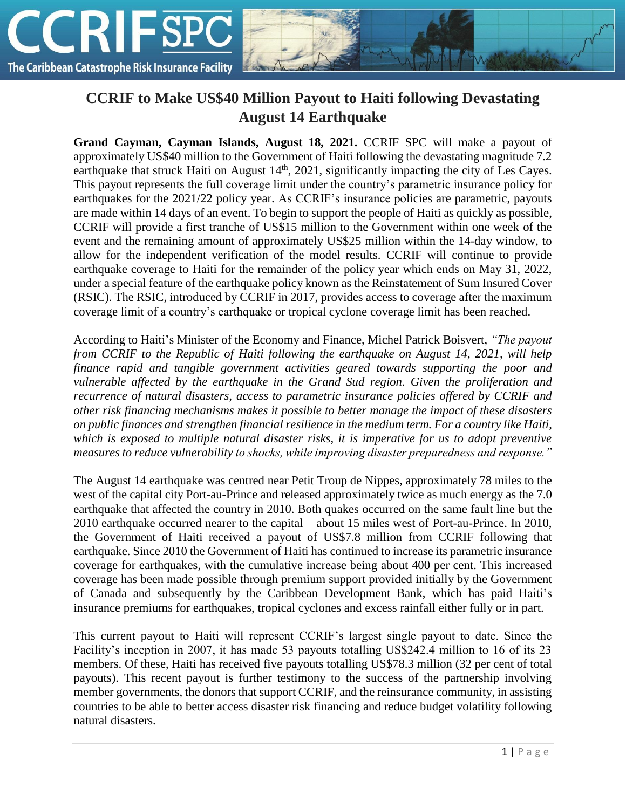

## **CCRIF to Make US\$40 Million Payout to Haiti following Devastating August 14 Earthquake**

**Grand Cayman, Cayman Islands, August 18, 2021.** CCRIF SPC will make a payout of approximately US\$40 million to the Government of Haiti following the devastating magnitude 7.2 earthquake that struck Haiti on August  $14<sup>th</sup>$ , 2021, significantly impacting the city of Les Cayes. This payout represents the full coverage limit under the country's parametric insurance policy for earthquakes for the 2021/22 policy year. As CCRIF's insurance policies are parametric, payouts are made within 14 days of an event. To begin to support the people of Haiti as quickly as possible, CCRIF will provide a first tranche of US\$15 million to the Government within one week of the event and the remaining amount of approximately US\$25 million within the 14-day window, to allow for the independent verification of the model results. CCRIF will continue to provide earthquake coverage to Haiti for the remainder of the policy year which ends on May 31, 2022, under a special feature of the earthquake policy known as the Reinstatement of Sum Insured Cover (RSIC). The RSIC, introduced by CCRIF in 2017, provides access to coverage after the maximum coverage limit of a country's earthquake or tropical cyclone coverage limit has been reached.

According to Haiti's Minister of the Economy and Finance, Michel Patrick Boisvert, *"The payout from CCRIF to the Republic of Haiti following the earthquake on August 14, 2021, will help finance rapid and tangible government activities geared towards supporting the poor and vulnerable affected by the earthquake in the Grand Sud region. Given the proliferation and recurrence of natural disasters, access to parametric insurance policies offered by CCRIF and other risk financing mechanisms makes it possible to better manage the impact of these disasters on public finances and strengthen financial resilience in the medium term. For a country like Haiti, which is exposed to multiple natural disaster risks, it is imperative for us to adopt preventive measures to reduce vulnerability to shocks, while improving disaster preparedness and response."*

The August 14 earthquake was centred near Petit Troup de Nippes, approximately 78 miles to the west of the capital city Port-au-Prince and released approximately twice as much energy as the 7.0 earthquake that affected the country in 2010. Both quakes occurred on the same fault line but the 2010 earthquake occurred nearer to the capital – about 15 miles west of Port-au-Prince. In 2010, the Government of Haiti received a payout of US\$7.8 million from CCRIF following that earthquake. Since 2010 the Government of Haiti has continued to increase its parametric insurance coverage for earthquakes, with the cumulative increase being about 400 per cent. This increased coverage has been made possible through premium support provided initially by the Government of Canada and subsequently by the Caribbean Development Bank, which has paid Haiti's insurance premiums for earthquakes, tropical cyclones and excess rainfall either fully or in part.

This current payout to Haiti will represent CCRIF's largest single payout to date. Since the Facility's inception in 2007, it has made 53 payouts totalling US\$242.4 million to 16 of its 23 members. Of these, Haiti has received five payouts totalling US\$78.3 million (32 per cent of total payouts). This recent payout is further testimony to the success of the partnership involving member governments, the donors that support CCRIF, and the reinsurance community, in assisting countries to be able to better access disaster risk financing and reduce budget volatility following natural disasters.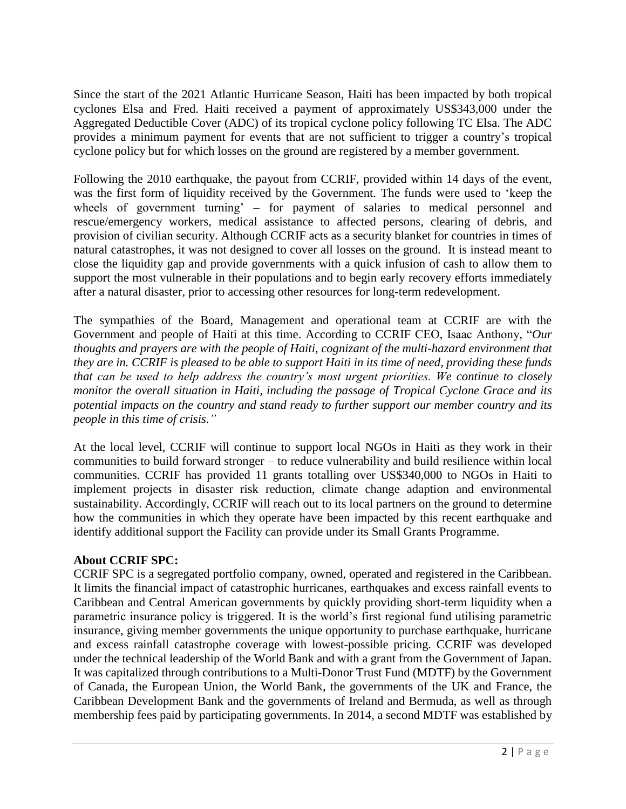Since the start of the 2021 Atlantic Hurricane Season, Haiti has been impacted by both tropical cyclones Elsa and Fred. Haiti received a payment of approximately US\$343,000 under the Aggregated Deductible Cover (ADC) of its tropical cyclone policy following TC Elsa. The ADC provides a minimum payment for events that are not sufficient to trigger a country's tropical cyclone policy but for which losses on the ground are registered by a member government.

Following the 2010 earthquake, the payout from CCRIF, provided within 14 days of the event, was the first form of liquidity received by the Government. The funds were used to 'keep the wheels of government turning' – for payment of salaries to medical personnel and rescue/emergency workers, medical assistance to affected persons, clearing of debris, and provision of civilian security. Although CCRIF acts as a security blanket for countries in times of natural catastrophes, it was not designed to cover all losses on the ground. It is instead meant to close the liquidity gap and provide governments with a quick infusion of cash to allow them to support the most vulnerable in their populations and to begin early recovery efforts immediately after a natural disaster, prior to accessing other resources for long-term redevelopment.

The sympathies of the Board, Management and operational team at CCRIF are with the Government and people of Haiti at this time. According to CCRIF CEO, Isaac Anthony, "*Our thoughts and prayers are with the people of Haiti, cognizant of the multi-hazard environment that they are in. CCRIF is pleased to be able to support Haiti in its time of need, providing these funds that can be used to help address the country's most urgent priorities. We continue to closely monitor the overall situation in Haiti, including the passage of Tropical Cyclone Grace and its potential impacts on the country and stand ready to further support our member country and its people in this time of crisis."*

At the local level, CCRIF will continue to support local NGOs in Haiti as they work in their communities to build forward stronger – to reduce vulnerability and build resilience within local communities. CCRIF has provided 11 grants totalling over US\$340,000 to NGOs in Haiti to implement projects in disaster risk reduction, climate change adaption and environmental sustainability. Accordingly, CCRIF will reach out to its local partners on the ground to determine how the communities in which they operate have been impacted by this recent earthquake and identify additional support the Facility can provide under its Small Grants Programme.

## **About CCRIF SPC:**

CCRIF SPC is a segregated portfolio company, owned, operated and registered in the Caribbean. It limits the financial impact of catastrophic hurricanes, earthquakes and excess rainfall events to Caribbean and Central American governments by quickly providing short-term liquidity when a parametric insurance policy is triggered. It is the world's first regional fund utilising parametric insurance, giving member governments the unique opportunity to purchase earthquake, hurricane and excess rainfall catastrophe coverage with lowest-possible pricing. CCRIF was developed under the technical leadership of the World Bank and with a grant from the Government of Japan. It was capitalized through contributions to a Multi-Donor Trust Fund (MDTF) by the Government of Canada, the European Union, the World Bank, the governments of the UK and France, the Caribbean Development Bank and the governments of Ireland and Bermuda, as well as through membership fees paid by participating governments. In 2014, a second MDTF was established by